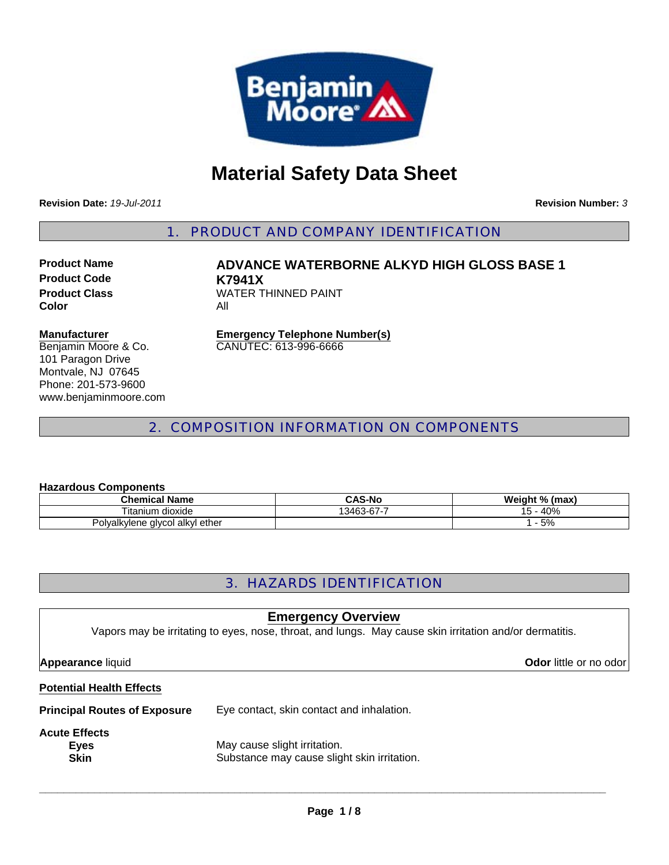

# **Material Safety Data Sheet**

**Revision Date:** *19-Jul-2011*

**Revision Number:** *3*

1. PRODUCT AND COMPANY IDENTIFICATION

**Product Code K7941X Color** All

**Product Name ADVANCE WATERBORNE ALKYD HIGH GLOSS BASE 1 Product Class WATER THINNED PAINT** 

#### **Manufacturer**

Benjamin Moore & Co. 101 Paragon Drive Montvale, NJ 07645 Phone: 201-573-9600 www.benjaminmoore.com

**Emergency Telephone Number(s)** CANUTEC: 613-996-6666

# 2. COMPOSITION INFORMATION ON COMPONENTS

#### **Hazardous Components**

| <b>Chemical Name</b>            | <b>CAS-No</b> | Weight % (max) |
|---------------------------------|---------------|----------------|
| Titanium<br>⊧ dioxide           | 13463-67-7    | 40%            |
| Polyalkylene glycol alkyl ether |               | 5%             |

# 3. HAZARDS IDENTIFICATION

# **Potential Health Effects Principal Routes of Exposure** Eye contact, skin contact and inhalation. **Acute Effects Eyes** May cause slight irritation. **Skin** Substance may cause slight skin irritation. **Emergency Overview** Vapors may be irritating to eyes, nose, throat, and lungs. May cause skin irritation and/or dermatitis. **Appearance** liquid **Odor in the set of the set of the set of the set of the set of the set of the set of the set of the set of the set of the set of the set of the set of the set of the set of the set of the set of the se**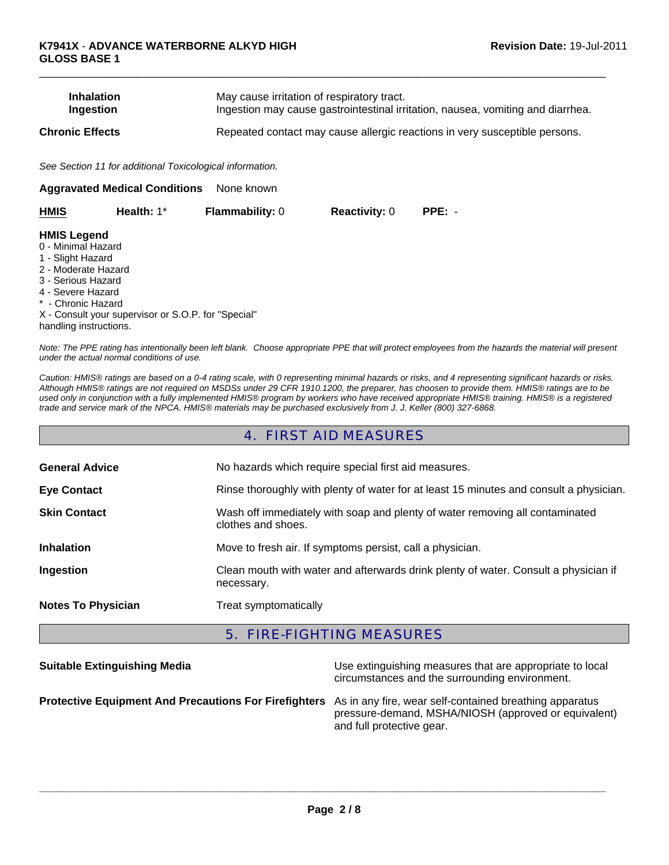| <b>Inhalation</b> | May cause irritation of respiratory tract.                                      |
|-------------------|---------------------------------------------------------------------------------|
| <b>Ingestion</b>  | Ingestion may cause gastrointestinal irritation, nausea, vomiting and diarrhea. |
| Chronic Effects   | Repeated contact may cause allergic reactions in very susceptible persons.      |

 $\Box$ 

*See Section 11 for additional Toxicological information.*

| <b>Aggravated Medical Conditions</b><br>None known |                                                     |                        |                      |          |  |
|----------------------------------------------------|-----------------------------------------------------|------------------------|----------------------|----------|--|
| <b>HMIS</b>                                        | Health: $1^*$                                       | <b>Flammability: 0</b> | <b>Reactivity: 0</b> | $PPE: -$ |  |
| <b>HMIS Legend</b>                                 |                                                     |                        |                      |          |  |
| 0 - Minimal Hazard                                 |                                                     |                        |                      |          |  |
| 1 - Slight Hazard                                  |                                                     |                        |                      |          |  |
| 2 - Moderate Hazard                                |                                                     |                        |                      |          |  |
| 3 - Serious Hazard                                 |                                                     |                        |                      |          |  |
| 4 - Severe Hazard                                  |                                                     |                        |                      |          |  |
| * - Chronic Hazard                                 |                                                     |                        |                      |          |  |
|                                                    | X - Consult your supervisor or S.O.P. for "Special" |                        |                      |          |  |
| handling instructions.                             |                                                     |                        |                      |          |  |

*Note: The PPE rating has intentionally been left blank. Choose appropriate PPE that will protect employees from the hazards the material will present under the actual normal conditions of use.*

*Caution: HMIS® ratings are based on a 0-4 rating scale, with 0 representing minimal hazards or risks, and 4 representing significant hazards or risks. Although HMIS® ratings are not required on MSDSs under 29 CFR 1910.1200, the preparer, has choosen to provide them. HMIS® ratings are to be used only in conjunction with a fully implemented HMIS® program by workers who have received appropriate HMIS® training. HMIS® is a registered trade and service mark of the NPCA. HMIS® materials may be purchased exclusively from J. J. Keller (800) 327-6868.*

## 4. FIRST AID MEASURES

| <b>General Advice</b>     | No hazards which require special first aid measures.                                               |
|---------------------------|----------------------------------------------------------------------------------------------------|
| <b>Eye Contact</b>        | Rinse thoroughly with plenty of water for at least 15 minutes and consult a physician.             |
| <b>Skin Contact</b>       | Wash off immediately with soap and plenty of water removing all contaminated<br>clothes and shoes. |
| <b>Inhalation</b>         | Move to fresh air. If symptoms persist, call a physician.                                          |
| Ingestion                 | Clean mouth with water and afterwards drink plenty of water. Consult a physician if<br>necessary.  |
| <b>Notes To Physician</b> | Treat symptomatically                                                                              |

# 5. FIRE-FIGHTING MEASURES

| <b>Suitable Extinguishing Media</b>                                                                           | Use extinguishing measures that are appropriate to local<br>circumstances and the surrounding environment. |
|---------------------------------------------------------------------------------------------------------------|------------------------------------------------------------------------------------------------------------|
| Protective Equipment And Precautions For Firefighters As in any fire, wear self-contained breathing apparatus | pressure-demand, MSHA/NIOSH (approved or equivalent)<br>and full protective gear.                          |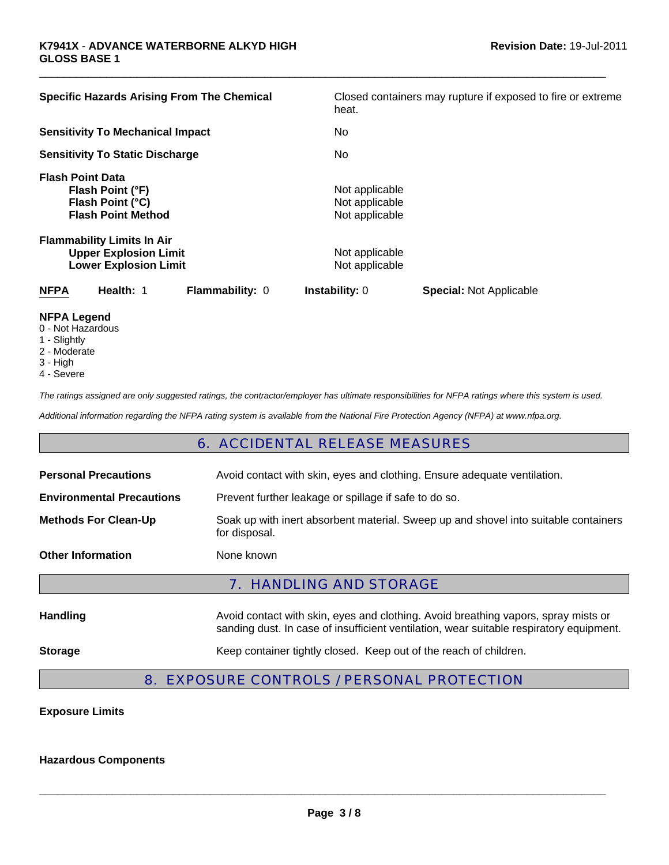| <b>Specific Hazards Arising From The Chemical</b>                                                 |                 | heat.                                              | Closed containers may rupture if exposed to fire or extreme |
|---------------------------------------------------------------------------------------------------|-----------------|----------------------------------------------------|-------------------------------------------------------------|
| <b>Sensitivity To Mechanical Impact</b>                                                           |                 | No.                                                |                                                             |
| <b>Sensitivity To Static Discharge</b>                                                            |                 | No.                                                |                                                             |
| <b>Flash Point Data</b><br>Flash Point (°F)<br>Flash Point (°C)<br><b>Flash Point Method</b>      |                 | Not applicable<br>Not applicable<br>Not applicable |                                                             |
| <b>Flammability Limits In Air</b><br><b>Upper Explosion Limit</b><br><b>Lower Explosion Limit</b> |                 | Not applicable<br>Not applicable                   |                                                             |
| <b>NFPA</b><br>Health: 1                                                                          | Flammability: 0 | <b>Instability: 0</b>                              | <b>Special: Not Applicable</b>                              |
| <b>NIEDA LANAMA</b>                                                                               |                 |                                                    |                                                             |

 $\Box$ 

- **NFPA Legend**
- 0 Not Hazardous
- 1 Slightly
- 2 Moderate
- 3 High
- 4 Severe

*The ratings assigned are only suggested ratings, the contractor/employer has ultimate responsibilities for NFPA ratings where this system is used.*

*Additional information regarding the NFPA rating system is available from the National Fire Protection Agency (NFPA) at www.nfpa.org.*

## 6. ACCIDENTAL RELEASE MEASURES

| <b>Personal Precautions</b>      | Avoid contact with skin, eyes and clothing. Ensure adequate ventilation.                                                                                                      |  |  |
|----------------------------------|-------------------------------------------------------------------------------------------------------------------------------------------------------------------------------|--|--|
| <b>Environmental Precautions</b> | Prevent further leakage or spillage if safe to do so.                                                                                                                         |  |  |
| <b>Methods For Clean-Up</b>      | Soak up with inert absorbent material. Sweep up and shovel into suitable containers<br>for disposal.                                                                          |  |  |
| <b>Other Information</b>         | None known                                                                                                                                                                    |  |  |
| <b>7. HANDLING AND STORAGE</b>   |                                                                                                                                                                               |  |  |
| <b>Handling</b>                  | Avoid contact with skin, eyes and clothing. Avoid breathing vapors, spray mists or<br>sanding dust. In case of insufficient ventilation, wear suitable respiratory equipment. |  |  |
| <b>Storage</b>                   | Keep container tightly closed. Keep out of the reach of children.                                                                                                             |  |  |

# 8. EXPOSURE CONTROLS / PERSONAL PROTECTION

### **Exposure Limits**

#### **Hazardous Components**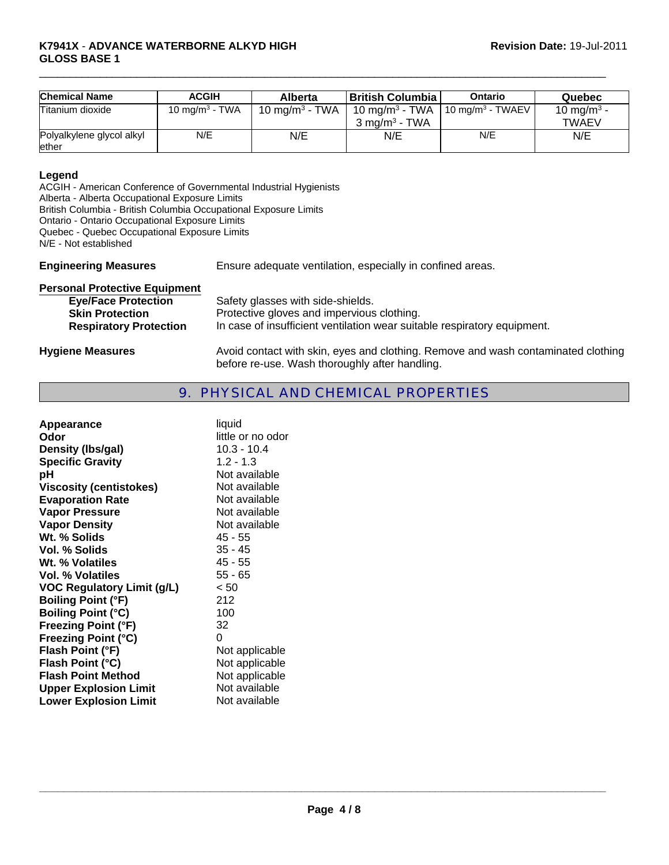| <b>Chemical Name</b>               | <b>ACGIH</b>      | <b>Alberta</b>    | ∣ British Columbia ∣                                                                  | <b>Ontario</b> | Quebec                         |
|------------------------------------|-------------------|-------------------|---------------------------------------------------------------------------------------|----------------|--------------------------------|
| Titanium dioxide                   | 10 mg/m $3$ - TWA | 10 mg/m $3$ - TWA | 10 mg/m <sup>3</sup> - TWA   10 mg/m <sup>3</sup> - TWAEV<br>$3 \text{ mg/m}^3$ - TWA |                | 10 mg/m $^3$ -<br><b>TWAEV</b> |
| Polyalkylene glycol alkyl<br>ether | N/E               | N/E               | N/E                                                                                   | N/E            | N/E                            |

 $\Box$ 

#### **Legend**

ACGIH - American Conference of Governmental Industrial Hygienists Alberta - Alberta Occupational Exposure Limits British Columbia - British Columbia Occupational Exposure Limits Ontario - Ontario Occupational Exposure Limits Quebec - Quebec Occupational Exposure Limits N/E - Not established

**Engineering Measures** Ensure adequate ventilation, especially in confined areas.

| <b>Personal Protective Equipment</b>                                                  |                                                                                                                                                             |  |
|---------------------------------------------------------------------------------------|-------------------------------------------------------------------------------------------------------------------------------------------------------------|--|
| <b>Eye/Face Protection</b><br><b>Skin Protection</b><br><b>Respiratory Protection</b> | Safety glasses with side-shields.<br>Protective gloves and impervious clothing.<br>In case of insufficient ventilation wear suitable respiratory equipment. |  |
| <b>Hygiene Measures</b>                                                               | Avoid contact with skin, eyes and clothing. Remove and wash contaminated clothing<br>before re-use. Wash thoroughly after handling.                         |  |

# 9. PHYSICAL AND CHEMICAL PROPERTIES

| Appearance                        | liquid            |
|-----------------------------------|-------------------|
| Odor                              | little or no odor |
| Density (Ibs/gal)                 | $10.3 - 10.4$     |
| <b>Specific Gravity</b>           | $1.2 - 1.3$       |
| рH                                | Not available     |
| <b>Viscosity (centistokes)</b>    | Not available     |
| <b>Evaporation Rate</b>           | Not available     |
| <b>Vapor Pressure</b>             | Not available     |
| <b>Vapor Density</b>              | Not available     |
| Wt. % Solids                      | 45 - 55           |
| Vol. % Solids                     | $35 - 45$         |
| Wt. % Volatiles                   | 45 - 55           |
| Vol. % Volatiles                  | $55 - 65$         |
| <b>VOC Regulatory Limit (g/L)</b> | < 50              |
| <b>Boiling Point (°F)</b>         | 212               |
| <b>Boiling Point (°C)</b>         | 100               |
| <b>Freezing Point (°F)</b>        | 32                |
| <b>Freezing Point (°C)</b>        | 0                 |
| Flash Point (°F)                  | Not applicable    |
| Flash Point (°C)                  | Not applicable    |
| <b>Flash Point Method</b>         | Not applicable    |
| <b>Upper Explosion Limit</b>      | Not available     |
| <b>Lower Explosion Limit</b>      | Not available     |
|                                   |                   |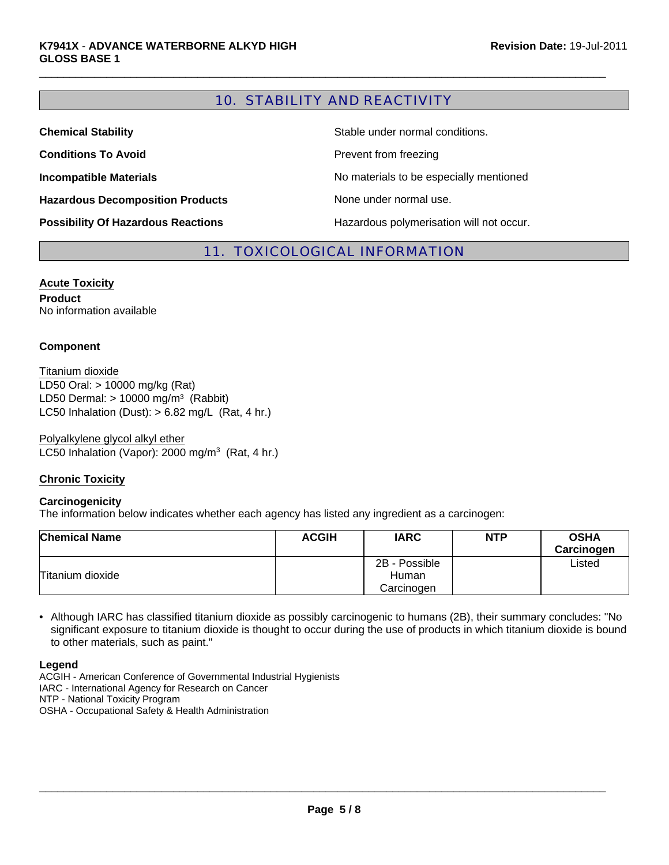# 10. STABILITY AND REACTIVITY

 $\Box$ 

| <b>Chemical Stability</b>                 | Stable under normal conditions.          |
|-------------------------------------------|------------------------------------------|
| <b>Conditions To Avoid</b>                | Prevent from freezing                    |
| <b>Incompatible Materials</b>             | No materials to be especially mentioned  |
| <b>Hazardous Decomposition Products</b>   | None under normal use.                   |
| <b>Possibility Of Hazardous Reactions</b> | Hazardous polymerisation will not occur. |

## 11. TOXICOLOGICAL INFORMATION

**Acute Toxicity Product** No information available

#### **Component**

LC50 Inhalation (Dust):  $> 6.82$  mg/L (Rat, 4 hr.) LD50 Oral: > 10000 mg/kg (Rat) LD50 Dermal:  $> 10000$  mg/m<sup>3</sup> (Rabbit) Titanium dioxide

Polyalkylene glycol alkyl ether LC50 Inhalation (Vapor): 2000 mg/m $3$  (Rat, 4 hr.)

#### **Chronic Toxicity**

#### **Carcinogenicity**

The information below indicates whether each agency has listed any ingredient as a carcinogen:

| <b>Chemical Name</b> | <b>ACGIH</b> | <b>IARC</b>   | <b>NTP</b> | <b>OSHA</b><br>Carcinogen |
|----------------------|--------------|---------------|------------|---------------------------|
|                      |              | 2B - Possible |            | Listed                    |
| Titanium dioxide     |              | Human         |            |                           |
|                      |              | Carcinogen    |            |                           |

• Although IARC has classified titanium dioxide as possibly carcinogenic to humans (2B), their summary concludes: "No significant exposure to titanium dioxide is thought to occur during the use of products in which titanium dioxide is bound to other materials, such as paint."

**Legend**

ACGIH - American Conference of Governmental Industrial Hygienists

IARC - International Agency for Research on Cancer

NTP - National Toxicity Program

OSHA - Occupational Safety & Health Administration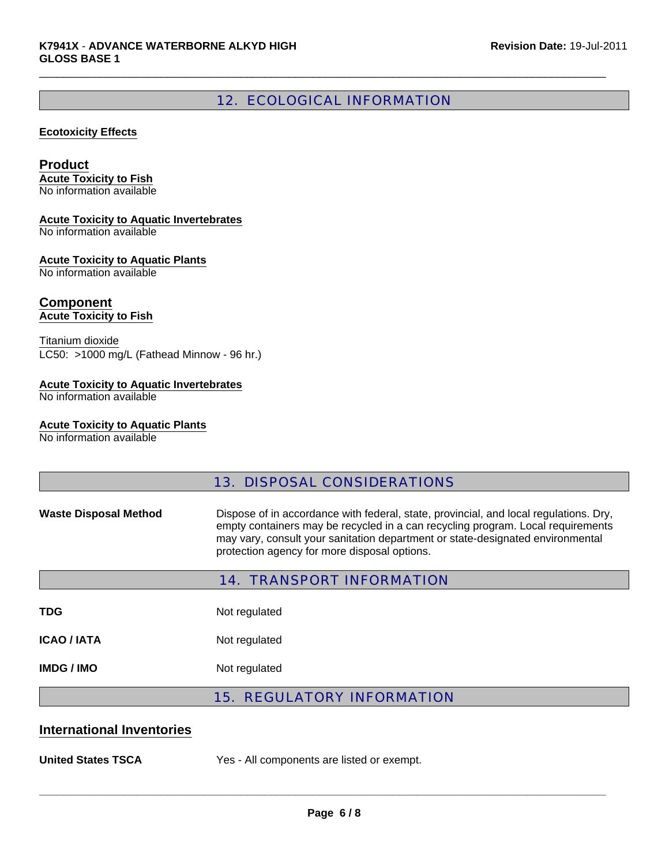# 12. ECOLOGICAL INFORMATION

 $\Box$ 

#### **Ecotoxicity Effects**

#### **Product**

**Acute Toxicity to Fish** No information available

#### **Acute Toxicity to Aquatic Invertebrates**

No information available

#### **Acute Toxicity to Aquatic Plants**

No information available

# **Component**

**Acute Toxicity to Fish**

Titanium dioxide LC50: >1000 mg/L (Fathead Minnow - 96 hr.)

#### **Acute Toxicity to Aquatic Invertebrates**

No information available

#### **Acute Toxicity to Aquatic Plants**

No information available

# 13. DISPOSAL CONSIDERATIONS

Waste Disposal Method **Dispose of in accordance with federal**, state, provincial, and local regulations. Dry, empty containers may be recycled in a can recycling program. Local requirements may vary, consult your sanitation department or state-designated environmental protection agency for more disposal options.

| <b>14. TRANSPORT INFORMATION</b> |                                   |  |  |  |
|----------------------------------|-----------------------------------|--|--|--|
| <b>TDG</b>                       | Not regulated                     |  |  |  |
| ICAO / IATA                      | Not regulated                     |  |  |  |
| IMDG / IMO                       | Not regulated                     |  |  |  |
|                                  | <b>15. REGULATORY INFORMATION</b> |  |  |  |

### **International Inventories**

**United States TSCA** Yes - All components are listed or exempt.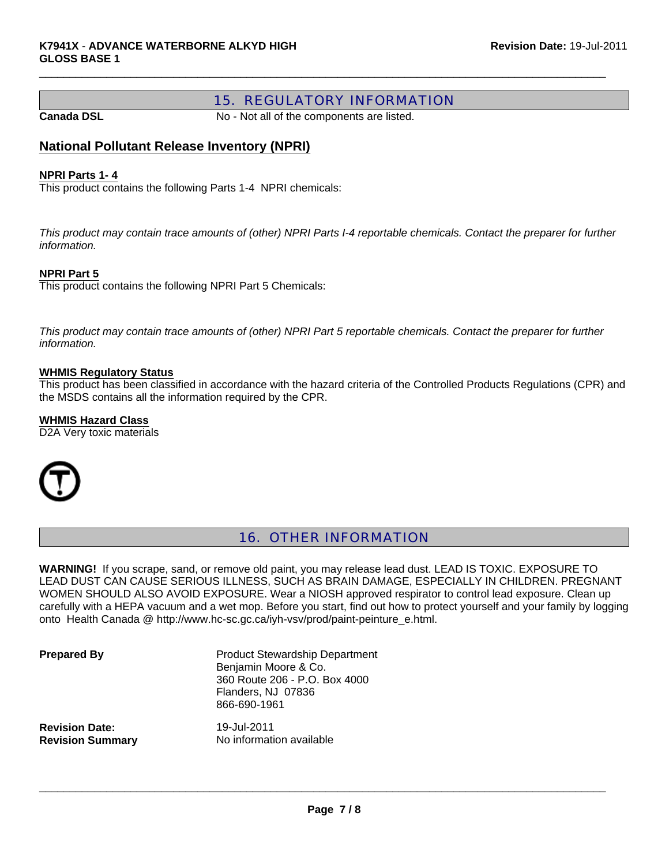# 15. REGULATORY INFORMATION

**Canada DSL** No - Not all of the components are listed.

 $\Box$ 

## **National Pollutant Release Inventory (NPRI)**

#### **NPRI Parts 1- 4**

This product contains the following Parts 1-4 NPRI chemicals:

*This product may contain trace amounts of (other) NPRI Parts I-4 reportable chemicals. Contact the preparer for further information.*

#### **NPRI Part 5**

This product contains the following NPRI Part 5 Chemicals:

*This product may contain trace amounts of (other) NPRI Part 5 reportable chemicals. Contact the preparer for further information.*

#### **WHMIS Regulatory Status**

This product has been classified in accordance with the hazard criteria of the Controlled Products Regulations (CPR) and the MSDS contains all the information required by the CPR.

#### **WHMIS Hazard Class**

D2A Very toxic materials



# 16. OTHER INFORMATION

**WARNING!** If you scrape, sand, or remove old paint, you may release lead dust. LEAD IS TOXIC. EXPOSURE TO LEAD DUST CAN CAUSE SERIOUS ILLNESS, SUCH AS BRAIN DAMAGE, ESPECIALLY IN CHILDREN. PREGNANT WOMEN SHOULD ALSO AVOID EXPOSURE. Wear a NIOSH approved respirator to control lead exposure. Clean up carefully with a HEPA vacuum and a wet mop. Before you start, find out how to protect yourself and your family by logging onto Health Canada @ http://www.hc-sc.gc.ca/iyh-vsv/prod/paint-peinture\_e.html.

**Prepared By** Product Stewardship Department Benjamin Moore & Co. 360 Route 206 - P.O. Box 4000 Flanders, NJ 07836 866-690-1961

**Revision Date:** 19-Jul-2011

**Revision Summary** No information available